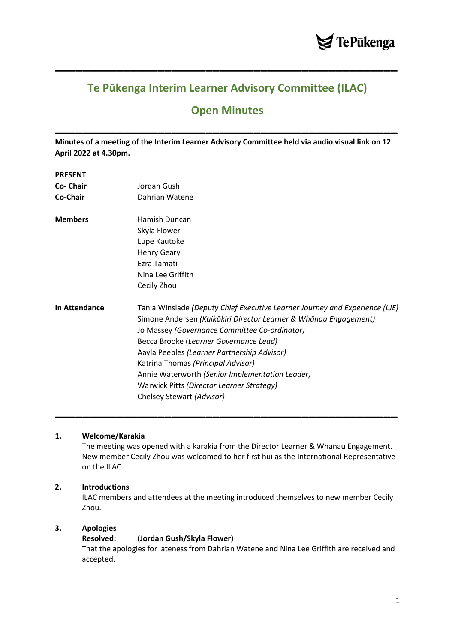

## **Te Pūkenga Interim Learner Advisory Committee (ILAC)**

**\_\_\_\_\_\_\_\_\_\_\_\_\_\_\_\_\_\_\_\_\_\_\_\_\_\_\_\_\_\_\_\_\_\_\_\_\_\_\_\_\_\_\_\_\_\_\_\_\_\_**

# **Open Minutes**

**\_\_\_\_\_\_\_\_\_\_\_\_\_\_\_\_\_\_\_\_\_\_\_\_\_\_\_\_\_\_\_\_\_\_\_\_\_\_\_\_\_\_\_\_\_\_\_\_\_\_**

**Minutes of a meeting of the Interim Learner Advisory Committee held via audio visual link on 12 April 2022 at 4.30pm.**

#### **PRESENT**

| Co- Chair            | Jordan Gush                                                                                                                                                                                                                                |
|----------------------|--------------------------------------------------------------------------------------------------------------------------------------------------------------------------------------------------------------------------------------------|
| Co-Chair             | Dahrian Watene                                                                                                                                                                                                                             |
| <b>Members</b>       | Hamish Duncan                                                                                                                                                                                                                              |
|                      | Skyla Flower                                                                                                                                                                                                                               |
|                      | Lupe Kautoke                                                                                                                                                                                                                               |
|                      | <b>Henry Geary</b>                                                                                                                                                                                                                         |
|                      | Ezra Tamati                                                                                                                                                                                                                                |
|                      | Nina Lee Griffith                                                                                                                                                                                                                          |
|                      | Cecily Zhou                                                                                                                                                                                                                                |
| <b>In Attendance</b> | Tania Winslade (Deputy Chief Executive Learner Journey and Experience (LJE)<br>Simone Andersen (Kaikōkiri Director Learner & Whānau Engagement)<br>Jo Massey (Governance Committee Co-ordinator)<br>Becca Brooke (Learner Governance Lead) |
|                      | Aayla Peebles (Learner Partnership Advisor)                                                                                                                                                                                                |
|                      | Katrina Thomas (Principal Advisor)                                                                                                                                                                                                         |
|                      | Annie Waterworth (Senior Implementation Leader)                                                                                                                                                                                            |
|                      | Warwick Pitts (Director Learner Strategy)                                                                                                                                                                                                  |
|                      | Chelsey Stewart (Advisor)                                                                                                                                                                                                                  |

## **1. Welcome/Karakia**

The meeting was opened with a karakia from the Director Learner & Whanau Engagement. New member Cecily Zhou was welcomed to her first hui as the International Representative on the ILAC.

**\_\_\_\_\_\_\_\_\_\_\_\_\_\_\_\_\_\_\_\_\_\_\_\_\_\_\_\_\_\_\_\_\_\_\_\_\_\_\_\_\_\_\_\_\_\_\_\_\_\_**

## **2. Introductions**

ILAC members and attendees at the meeting introduced themselves to new member Cecily Zhou.

## **3. Apologies**

#### **Resolved: (Jordan Gush/Skyla Flower)**

That the apologies for lateness from Dahrian Watene and Nina Lee Griffith are received and accepted.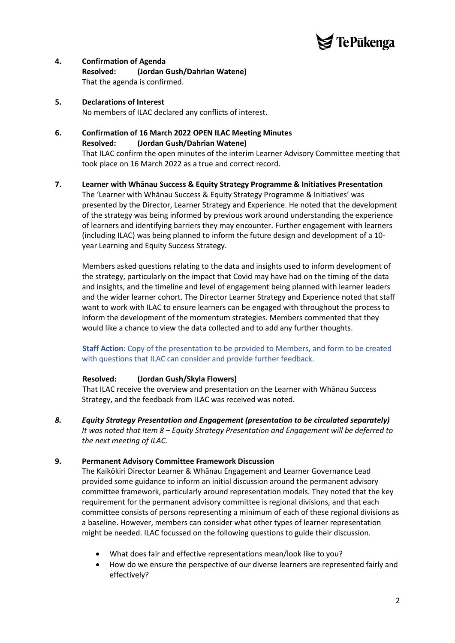

## **4. Confirmation of Agenda Resolved: (Jordan Gush/Dahrian Watene)** That the agenda is confirmed.

- **5. Declarations of Interest** No members of ILAC declared any conflicts of interest.
- **6. Confirmation of 16 March 2022 OPEN ILAC Meeting Minutes Resolved: (Jordan Gush/Dahrian Watene)** That ILAC confirm the open minutes of the interim Learner Advisory Committee meeting that took place on 16 March 2022 as a true and correct record.

## **7. Learner with Whānau Success & Equity Strategy Programme & Initiatives Presentation**

The 'Learner with Whānau Success & Equity Strategy Programme & Initiatives' was presented by the Director, Learner Strategy and Experience. He noted that the development of the strategy was being informed by previous work around understanding the experience of learners and identifying barriers they may encounter. Further engagement with learners (including ILAC) was being planned to inform the future design and development of a 10 year Learning and Equity Success Strategy.

Members asked questions relating to the data and insights used to inform development of the strategy, particularly on the impact that Covid may have had on the timing of the data and insights, and the timeline and level of engagement being planned with learner leaders and the wider learner cohort. The Director Learner Strategy and Experience noted that staff want to work with ILAC to ensure learners can be engaged with throughout the process to inform the development of the momentum strategies. Members commented that they would like a chance to view the data collected and to add any further thoughts.

## **Staff Action**: Copy of the presentation to be provided to Members, and form to be created with questions that ILAC can consider and provide further feedback.

## **Resolved: (Jordan Gush/Skyla Flowers)**

That ILAC receive the overview and presentation on the Learner with Whānau Success Strategy, and the feedback from ILAC was received was noted.

*8. Equity Strategy Presentation and Engagement (presentation to be circulated separately) It was noted that Item 8 – Equity Strategy Presentation and Engagement will be deferred to the next meeting of ILAC.*

## **9. Permanent Advisory Committee Framework Discussion**

The Kaikōkiri Director Learner & Whānau Engagement and Learner Governance Lead provided some guidance to inform an initial discussion around the permanent advisory committee framework, particularly around representation models. They noted that the key requirement for the permanent advisory committee is regional divisions, and that each committee consists of persons representing a minimum of each of these regional divisions as a baseline. However, members can consider what other types of learner representation might be needed. ILAC focussed on the following questions to guide their discussion.

- What does fair and effective representations mean/look like to you?
- How do we ensure the perspective of our diverse learners are represented fairly and effectively?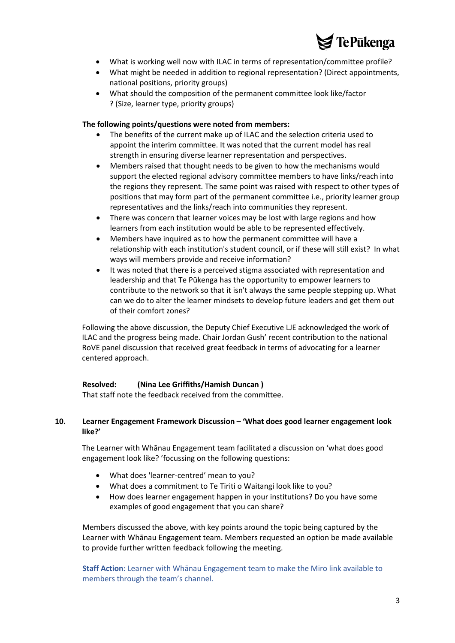

- What is working well now with ILAC in terms of representation/committee profile?
- What might be needed in addition to regional representation? (Direct appointments, national positions, priority groups)
- What should the composition of the permanent committee look like/factor ? (Size, learner type, priority groups)

#### **The following points/questions were noted from members:**

- The benefits of the current make up of ILAC and the selection criteria used to appoint the interim committee. It was noted that the current model has real strength in ensuring diverse learner representation and perspectives.
- Members raised that thought needs to be given to how the mechanisms would support the elected regional advisory committee members to have links/reach into the regions they represent. The same point was raised with respect to other types of positions that may form part of the permanent committee i.e., priority learner group representatives and the links/reach into communities they represent.
- There was concern that learner voices may be lost with large regions and how learners from each institution would be able to be represented effectively.
- Members have inquired as to how the permanent committee will have a relationship with each institution's student council, or if these will still exist? In what ways will members provide and receive information?
- It was noted that there is a perceived stigma associated with representation and leadership and that Te Pūkenga has the opportunity to empower learners to contribute to the network so that it isn't always the same people stepping up. What can we do to alter the learner mindsets to develop future leaders and get them out of their comfort zones?

Following the above discussion, the Deputy Chief Executive LJE acknowledged the work of ILAC and the progress being made. Chair Jordan Gush' recent contribution to the national RoVE panel discussion that received great feedback in terms of advocating for a learner centered approach.

## **Resolved: (Nina Lee Griffiths/Hamish Duncan )**

That staff note the feedback received from the committee.

## **10. Learner Engagement Framework Discussion – 'What does good learner engagement look like?'**

The Learner with Whānau Engagement team facilitated a discussion on 'what does good engagement look like? 'focussing on the following questions:

- What does 'learner-centred' mean to you?
- What does a commitment to Te Tiriti o Waitangi look like to you?
- How does learner engagement happen in your institutions? Do you have some examples of good engagement that you can share?

Members discussed the above, with key points around the topic being captured by the Learner with Whānau Engagement team. Members requested an option be made available to provide further written feedback following the meeting.

**Staff Action**: Learner with Whānau Engagement team to make the Miro link available to members through the team's channel.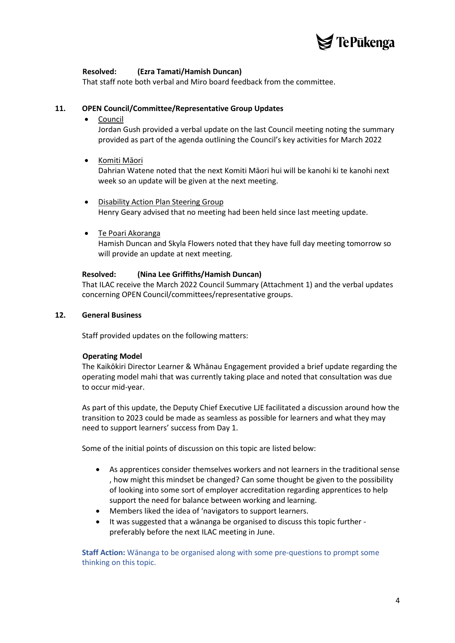

## **Resolved: (Ezra Tamati/Hamish Duncan)**

That staff note both verbal and Miro board feedback from the committee.

## **11. OPEN Council/Committee/Representative Group Updates**

## **Council**

Jordan Gush provided a verbal update on the last Council meeting noting the summary provided as part of the agenda outlining the Council's key activities for March 2022

## • Komiti Māori

Dahrian Watene noted that the next Komiti Māori hui will be kanohi ki te kanohi next week so an update will be given at the next meeting.

- Disability Action Plan Steering Group Henry Geary advised that no meeting had been held since last meeting update.
- Te Poari Akoranga

Hamish Duncan and Skyla Flowers noted that they have full day meeting tomorrow so will provide an update at next meeting.

## **Resolved: (Nina Lee Griffiths/Hamish Duncan)**

That ILAC receive the March 2022 Council Summary (Attachment 1) and the verbal updates concerning OPEN Council/committees/representative groups.

#### **12. General Business**

Staff provided updates on the following matters:

## **Operating Model**

The Kaikōkiri Director Learner & Whānau Engagement provided a brief update regarding the operating model mahi that was currently taking place and noted that consultation was due to occur mid-year.

As part of this update, the Deputy Chief Executive LJE facilitated a discussion around how the transition to 2023 could be made as seamless as possible for learners and what they may need to support learners' success from Day 1.

Some of the initial points of discussion on this topic are listed below:

- As apprentices consider themselves workers and not learners in the traditional sense , how might this mindset be changed? Can some thought be given to the possibility of looking into some sort of employer accreditation regarding apprentices to help support the need for balance between working and learning.
- Members liked the idea of 'navigators to support learners.
- It was suggested that a wānanga be organised to discuss this topic further preferably before the next ILAC meeting in June.

**Staff Action:** Wānanga to be organised along with some pre-questions to prompt some thinking on this topic.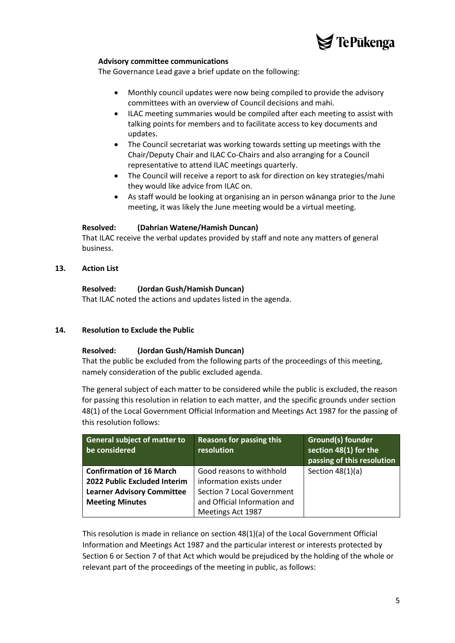

#### **Advisory committee communications**

The Governance Lead gave a brief update on the following:

- Monthly council updates were now being compiled to provide the advisory committees with an overview of Council decisions and mahi.
- ILAC meeting summaries would be compiled after each meeting to assist with talking points for members and to facilitate access to key documents and updates.
- The Council secretariat was working towards setting up meetings with the Chair/Deputy Chair and ILAC Co-Chairs and also arranging for a Council representative to attend ILAC meetings quarterly.
- The Council will receive a report to ask for direction on key strategies/mahi they would like advice from ILAC on.
- As staff would be looking at organising an in person wānanga prior to the June meeting, it was likely the June meeting would be a virtual meeting.

#### **Resolved: (Dahrian Watene/Hamish Duncan)**

That ILAC receive the verbal updates provided by staff and note any matters of general business.

#### **13. Action List**

#### **Resolved: (Jordan Gush/Hamish Duncan)**

That ILAC noted the actions and updates listed in the agenda.

#### **14. Resolution to Exclude the Public**

#### **Resolved: (Jordan Gush/Hamish Duncan)**

That the public be excluded from the following parts of the proceedings of this meeting, namely consideration of the public excluded agenda.

The general subject of each matter to be considered while the public is excluded, the reason for passing this resolution in relation to each matter, and the specific grounds under section 48(1) of the Local Government Official Information and Meetings Act 1987 for the passing of this resolution follows:

| <b>General subject of matter to</b><br>be considered | <b>Reasons for passing this</b><br>resolution | <b>Ground(s) founder</b><br>section 48(1) for the<br>passing of this resolution |
|------------------------------------------------------|-----------------------------------------------|---------------------------------------------------------------------------------|
| <b>Confirmation of 16 March</b>                      | Good reasons to withhold                      | Section $48(1)(a)$                                                              |
| 2022 Public Excluded Interim                         | information exists under                      |                                                                                 |
| <b>Learner Advisory Committee</b>                    | <b>Section 7 Local Government</b>             |                                                                                 |
| <b>Meeting Minutes</b>                               | and Official Information and                  |                                                                                 |
|                                                      | Meetings Act 1987                             |                                                                                 |

This resolution is made in reliance on section 48(1)(a) of the Local Government Official Information and Meetings Act 1987 and the particular interest or interests protected by Section 6 or Section 7 of that Act which would be prejudiced by the holding of the whole or relevant part of the proceedings of the meeting in public, as follows: